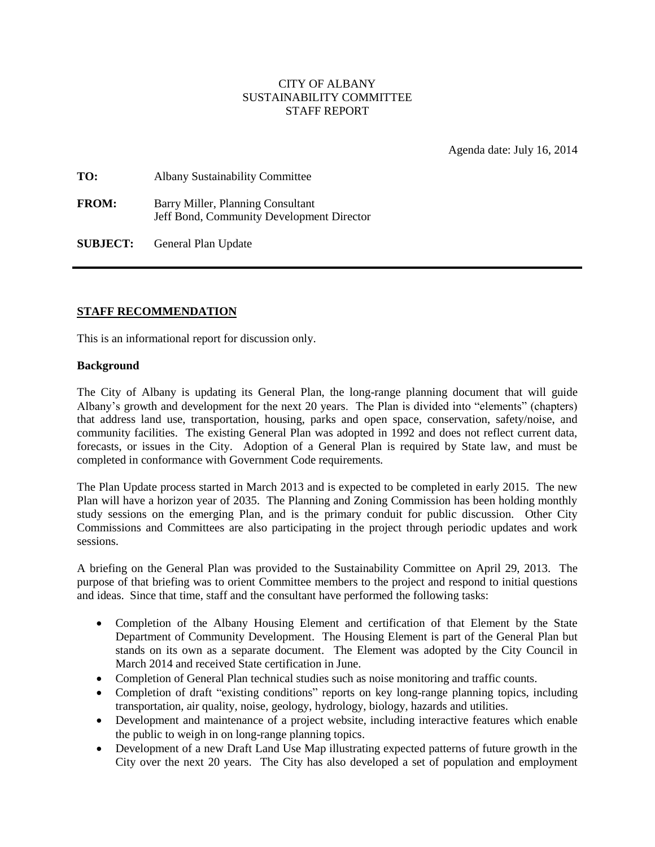## CITY OF ALBANY SUSTAINABILITY COMMITTEE STAFF REPORT

Agenda date: July 16, 2014

| TO:          | <b>Albany Sustainability Committee</b>                                         |
|--------------|--------------------------------------------------------------------------------|
| <b>FROM:</b> | Barry Miller, Planning Consultant<br>Jeff Bond, Community Development Director |

**SUBJECT:** General Plan Update

## **STAFF RECOMMENDATION**

This is an informational report for discussion only.

#### **Background**

The City of Albany is updating its General Plan, the long-range planning document that will guide Albany's growth and development for the next 20 years. The Plan is divided into "elements" (chapters) that address land use, transportation, housing, parks and open space, conservation, safety/noise, and community facilities. The existing General Plan was adopted in 1992 and does not reflect current data, forecasts, or issues in the City. Adoption of a General Plan is required by State law, and must be completed in conformance with Government Code requirements.

The Plan Update process started in March 2013 and is expected to be completed in early 2015. The new Plan will have a horizon year of 2035. The Planning and Zoning Commission has been holding monthly study sessions on the emerging Plan, and is the primary conduit for public discussion. Other City Commissions and Committees are also participating in the project through periodic updates and work sessions.

A briefing on the General Plan was provided to the Sustainability Committee on April 29, 2013. The purpose of that briefing was to orient Committee members to the project and respond to initial questions and ideas. Since that time, staff and the consultant have performed the following tasks:

- Completion of the Albany Housing Element and certification of that Element by the State Department of Community Development. The Housing Element is part of the General Plan but stands on its own as a separate document. The Element was adopted by the City Council in March 2014 and received State certification in June.
- Completion of General Plan technical studies such as noise monitoring and traffic counts.
- Completion of draft "existing conditions" reports on key long-range planning topics, including transportation, air quality, noise, geology, hydrology, biology, hazards and utilities.
- Development and maintenance of a project website, including interactive features which enable the public to weigh in on long-range planning topics.
- Development of a new Draft Land Use Map illustrating expected patterns of future growth in the City over the next 20 years. The City has also developed a set of population and employment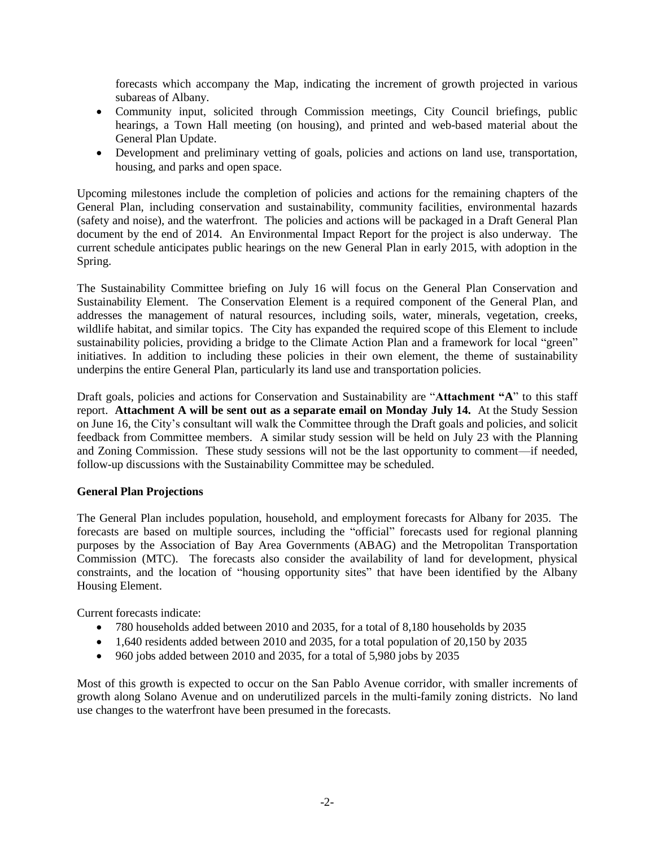forecasts which accompany the Map, indicating the increment of growth projected in various subareas of Albany.

- Community input, solicited through Commission meetings, City Council briefings, public hearings, a Town Hall meeting (on housing), and printed and web-based material about the General Plan Update.
- Development and preliminary vetting of goals, policies and actions on land use, transportation, housing, and parks and open space.

Upcoming milestones include the completion of policies and actions for the remaining chapters of the General Plan, including conservation and sustainability, community facilities, environmental hazards (safety and noise), and the waterfront. The policies and actions will be packaged in a Draft General Plan document by the end of 2014. An Environmental Impact Report for the project is also underway. The current schedule anticipates public hearings on the new General Plan in early 2015, with adoption in the Spring.

The Sustainability Committee briefing on July 16 will focus on the General Plan Conservation and Sustainability Element. The Conservation Element is a required component of the General Plan, and addresses the management of natural resources, including soils, water, minerals, vegetation, creeks, wildlife habitat, and similar topics. The City has expanded the required scope of this Element to include sustainability policies, providing a bridge to the Climate Action Plan and a framework for local "green" initiatives. In addition to including these policies in their own element, the theme of sustainability underpins the entire General Plan, particularly its land use and transportation policies.

Draft goals, policies and actions for Conservation and Sustainability are "**Attachment "A**" to this staff report. **Attachment A will be sent out as a separate email on Monday July 14.** At the Study Session on June 16, the City's consultant will walk the Committee through the Draft goals and policies, and solicit feedback from Committee members. A similar study session will be held on July 23 with the Planning and Zoning Commission. These study sessions will not be the last opportunity to comment—if needed, follow-up discussions with the Sustainability Committee may be scheduled.

# **General Plan Projections**

The General Plan includes population, household, and employment forecasts for Albany for 2035. The forecasts are based on multiple sources, including the "official" forecasts used for regional planning purposes by the Association of Bay Area Governments (ABAG) and the Metropolitan Transportation Commission (MTC). The forecasts also consider the availability of land for development, physical constraints, and the location of "housing opportunity sites" that have been identified by the Albany Housing Element.

Current forecasts indicate:

- 780 households added between 2010 and 2035, for a total of 8,180 households by 2035
- $\bullet$  1,640 residents added between 2010 and 2035, for a total population of 20,150 by 2035
- $\bullet$  960 jobs added between 2010 and 2035, for a total of 5,980 jobs by 2035

Most of this growth is expected to occur on the San Pablo Avenue corridor, with smaller increments of growth along Solano Avenue and on underutilized parcels in the multi-family zoning districts. No land use changes to the waterfront have been presumed in the forecasts.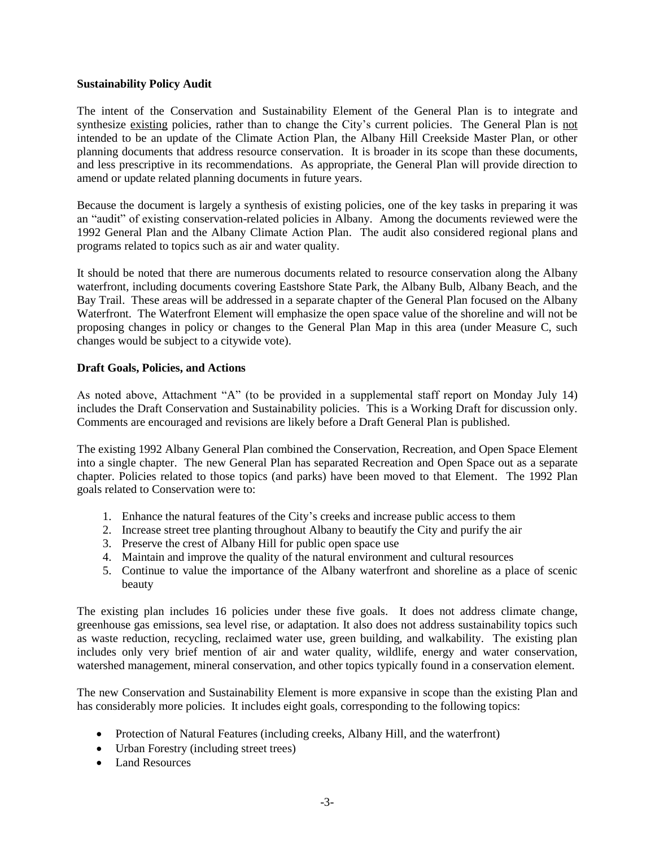#### **Sustainability Policy Audit**

The intent of the Conservation and Sustainability Element of the General Plan is to integrate and synthesize existing policies, rather than to change the City's current policies. The General Plan is not intended to be an update of the Climate Action Plan, the Albany Hill Creekside Master Plan, or other planning documents that address resource conservation. It is broader in its scope than these documents, and less prescriptive in its recommendations. As appropriate, the General Plan will provide direction to amend or update related planning documents in future years.

Because the document is largely a synthesis of existing policies, one of the key tasks in preparing it was an "audit" of existing conservation-related policies in Albany. Among the documents reviewed were the 1992 General Plan and the Albany Climate Action Plan. The audit also considered regional plans and programs related to topics such as air and water quality.

It should be noted that there are numerous documents related to resource conservation along the Albany waterfront, including documents covering Eastshore State Park, the Albany Bulb, Albany Beach, and the Bay Trail. These areas will be addressed in a separate chapter of the General Plan focused on the Albany Waterfront. The Waterfront Element will emphasize the open space value of the shoreline and will not be proposing changes in policy or changes to the General Plan Map in this area (under Measure C, such changes would be subject to a citywide vote).

## **Draft Goals, Policies, and Actions**

As noted above, Attachment "A" (to be provided in a supplemental staff report on Monday July 14) includes the Draft Conservation and Sustainability policies. This is a Working Draft for discussion only. Comments are encouraged and revisions are likely before a Draft General Plan is published.

The existing 1992 Albany General Plan combined the Conservation, Recreation, and Open Space Element into a single chapter. The new General Plan has separated Recreation and Open Space out as a separate chapter. Policies related to those topics (and parks) have been moved to that Element. The 1992 Plan goals related to Conservation were to:

- 1. Enhance the natural features of the City's creeks and increase public access to them
- 2. Increase street tree planting throughout Albany to beautify the City and purify the air
- 3. Preserve the crest of Albany Hill for public open space use
- 4. Maintain and improve the quality of the natural environment and cultural resources
- 5. Continue to value the importance of the Albany waterfront and shoreline as a place of scenic beauty

The existing plan includes 16 policies under these five goals. It does not address climate change, greenhouse gas emissions, sea level rise, or adaptation. It also does not address sustainability topics such as waste reduction, recycling, reclaimed water use, green building, and walkability. The existing plan includes only very brief mention of air and water quality, wildlife, energy and water conservation, watershed management, mineral conservation, and other topics typically found in a conservation element.

The new Conservation and Sustainability Element is more expansive in scope than the existing Plan and has considerably more policies. It includes eight goals, corresponding to the following topics:

- Protection of Natural Features (including creeks, Albany Hill, and the waterfront)
- Urban Forestry (including street trees)
- Land Resources